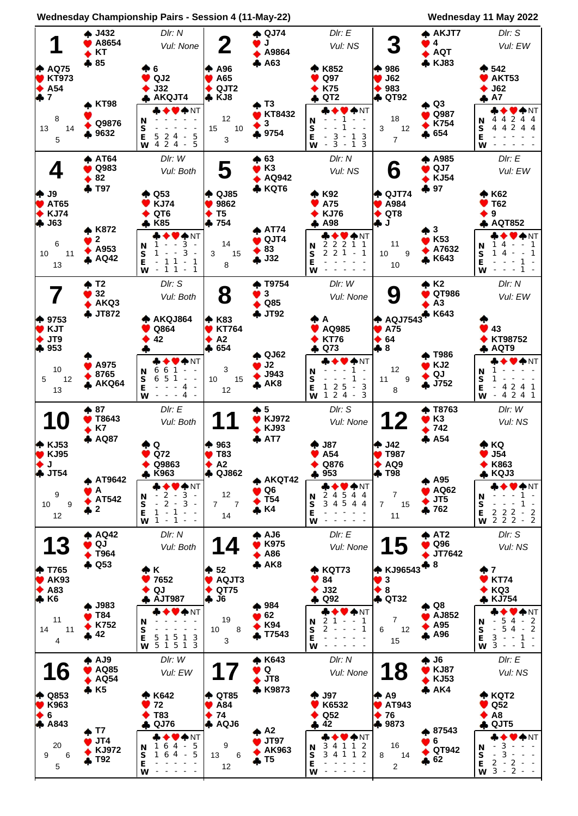

## **Wednesday Championship Pairs - Session 4 (11-May-22) Wednesday 11 May 2022**